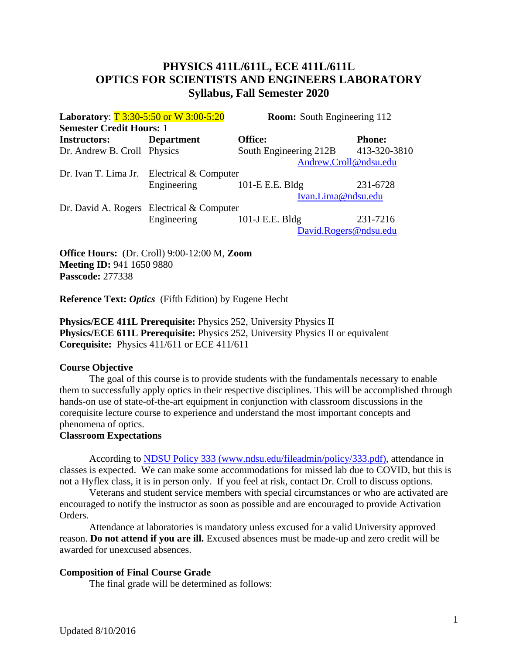# **PHYSICS 411L/611L, ECE 411L/611L OPTICS FOR SCIENTISTS AND ENGINEERS LABORATORY Syllabus, Fall Semester 2020**

| Laboratory: T 3:30-5:50 or W 3:00-5:20 |                                              | <b>Room:</b> South Engineering 112 |               |
|----------------------------------------|----------------------------------------------|------------------------------------|---------------|
| <b>Semester Credit Hours: 1</b>        |                                              |                                    |               |
| <b>Instructors:</b>                    | <b>Department</b>                            | Office:                            | <b>Phone:</b> |
| Dr. Andrew B. Croll Physics            |                                              | South Engineering 212B             | 413-320-3810  |
|                                        |                                              | Andrew.Croll@ndsu.edu              |               |
|                                        | Dr. Ivan T. Lima Jr. Electrical $&$ Computer |                                    |               |
|                                        | Engineering                                  | 101-E E.E. Bldg                    | 231-6728      |
|                                        |                                              | Ivan.Lima@ndsu.edu                 |               |
|                                        | Dr. David A. Rogers Electrical $&$ Computer  |                                    |               |
|                                        | Engineering                                  | 101-J E.E. Bldg                    | 231-7216      |
|                                        |                                              | David.Rogers@ndsu.edu              |               |
|                                        |                                              |                                    |               |

**Office Hours:** (Dr. Croll) 9:00-12:00 M, **Zoom Meeting ID:** 941 1650 9880 **Passcode:** 277338

**Reference Text:** *Optics* (Fifth Edition) by Eugene Hecht

**Physics/ECE 411L Prerequisite:** Physics 252, University Physics II **Physics/ECE 611L Prerequisite:** Physics 252, University Physics II or equivalent **Corequisite:** Physics 411/611 or ECE 411/611

## **Course Objective**

The goal of this course is to provide students with the fundamentals necessary to enable them to successfully apply optics in their respective disciplines. This will be accomplished through hands-on use of state-of-the-art equipment in conjunction with classroom discussions in the corequisite lecture course to experience and understand the most important concepts and phenomena of optics.

## **Classroom Expectations**

According to [NDSU Policy 333 \(www.ndsu.edu/fileadmin/policy/333.pdf\),](http://www.ndsu.edu/fileadmin/policy/333.pdf) attendance in classes is expected. We can make some accommodations for missed lab due to COVID, but this is not a Hyflex class, it is in person only. If you feel at risk, contact Dr. Croll to discuss options.

Veterans and student service members with special circumstances or who are activated are encouraged to notify the instructor as soon as possible and are encouraged to provide Activation Orders.

Attendance at laboratories is mandatory unless excused for a valid University approved reason. **Do not attend if you are ill.** Excused absences must be made-up and zero credit will be awarded for unexcused absences.

## **Composition of Final Course Grade**

The final grade will be determined as follows: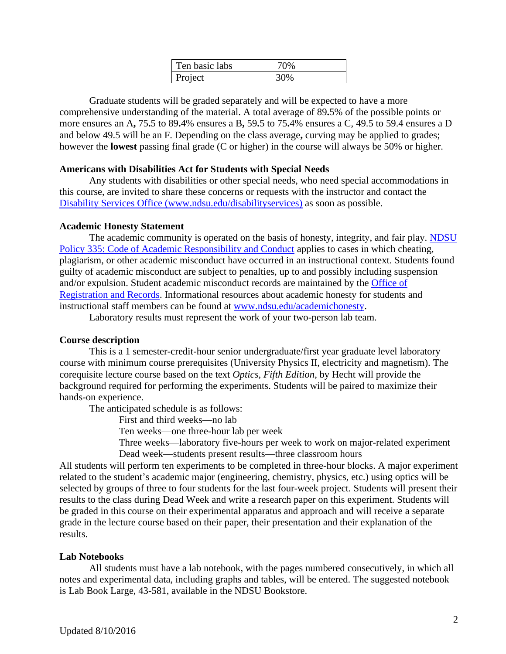| Ten basic labs |  |
|----------------|--|
| Project        |  |

Graduate students will be graded separately and will be expected to have a more comprehensive understanding of the material. A total average of 89**.**5% of the possible points or more ensures an A**,** 75**.**5 to 89**.**4% ensures a B**,** 59**.**5 to 75**.**4% ensures a C, 49.5 to 59.4 ensures a D and below 49.5 will be an F. Depending on the class average**,** curving may be applied to grades; however the **lowest** passing final grade (C or higher) in the course will always be 50% or higher.

#### **Americans with Disabilities Act for Students with Special Needs**

Any students with disabilities or other special needs, who need special accommodations in this course, are invited to share these concerns or requests with the instructor and contact the [Disability Services Office \(www.ndsu.edu/disabilityservices\)](http://www.ndsu.edu/disabilityservices/) as soon as possible.

#### **Academic Honesty Statement**

The academic community is operated on the basis of honesty, integrity, and fair play. [NDSU](http://www.ndsu.edu/fileadmin/policy/335.pdf)  [Policy 335: Code of Academic Responsibility and Conduct](http://www.ndsu.edu/fileadmin/policy/335.pdf) applies to cases in which cheating, plagiarism, or other academic misconduct have occurred in an instructional context. Students found guilty of academic misconduct are subject to penalties, up to and possibly including suspension and/or expulsion. Student academic misconduct records are maintained by the [Office of](http://www.ndsu.edu/registrar/)  [Registration and Records.](http://www.ndsu.edu/registrar/) Informational resources about academic honesty for students and instructional staff members can be found at [www.ndsu.edu/academichonesty.](http://www.ndsu.edu/academichonesty)

Laboratory results must represent the work of your two-person lab team.

## **Course description**

This is a 1 semester-credit-hour senior undergraduate/first year graduate level laboratory course with minimum course prerequisites (University Physics II, electricity and magnetism). The corequisite lecture course based on the text *Optics, Fifth Edition*, by Hecht will provide the background required for performing the experiments. Students will be paired to maximize their hands-on experience.

The anticipated schedule is as follows:

First and third weeks—no lab

Ten weeks—one three-hour lab per week

Three weeks—laboratory five-hours per week to work on major-related experiment Dead week—students present results—three classroom hours

All students will perform ten experiments to be completed in three-hour blocks. A major experiment related to the student's academic major (engineering, chemistry, physics, etc.) using optics will be selected by groups of three to four students for the last four-week project. Students will present their results to the class during Dead Week and write a research paper on this experiment. Students will be graded in this course on their experimental apparatus and approach and will receive a separate grade in the lecture course based on their paper, their presentation and their explanation of the results.

## **Lab Notebooks**

All students must have a lab notebook, with the pages numbered consecutively, in which all notes and experimental data, including graphs and tables, will be entered. The suggested notebook is Lab Book Large, 43-581, available in the NDSU Bookstore.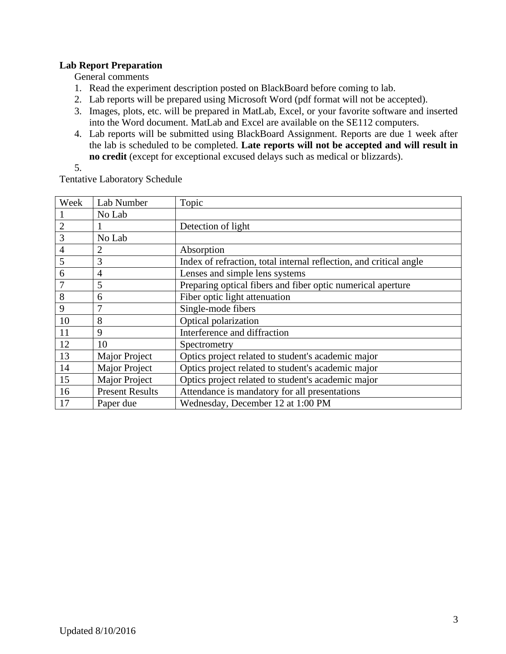## **Lab Report Preparation**

General comments

- 1. Read the experiment description posted on BlackBoard before coming to lab.
- 2. Lab reports will be prepared using Microsoft Word (pdf format will not be accepted).
- 3. Images, plots, etc. will be prepared in MatLab, Excel, or your favorite software and inserted into the Word document. MatLab and Excel are available on the SE112 computers.
- 4. Lab reports will be submitted using BlackBoard Assignment. Reports are due 1 week after the lab is scheduled to be completed. **Late reports will not be accepted and will result in no credit** (except for exceptional excused delays such as medical or blizzards).
- 5.

Tentative Laboratory Schedule

| Week           | Lab Number             | Topic                                                              |
|----------------|------------------------|--------------------------------------------------------------------|
|                | No Lab                 |                                                                    |
| $\overline{2}$ |                        | Detection of light                                                 |
| 3              | No Lab                 |                                                                    |
| $\overline{4}$ | $\overline{2}$         | Absorption                                                         |
| 5              | 3                      | Index of refraction, total internal reflection, and critical angle |
| 6              | 4                      | Lenses and simple lens systems                                     |
|                | 5                      | Preparing optical fibers and fiber optic numerical aperture        |
| 8              | 6                      | Fiber optic light attenuation                                      |
| 9              | 7                      | Single-mode fibers                                                 |
| 10             | 8                      | Optical polarization                                               |
| 11             | 9                      | Interference and diffraction                                       |
| 12             | 10                     | Spectrometry                                                       |
| 13             | Major Project          | Optics project related to student's academic major                 |
| 14             | <b>Major Project</b>   | Optics project related to student's academic major                 |
| 15             | Major Project          | Optics project related to student's academic major                 |
| 16             | <b>Present Results</b> | Attendance is mandatory for all presentations                      |
| 17             | Paper due              | Wednesday, December 12 at 1:00 PM                                  |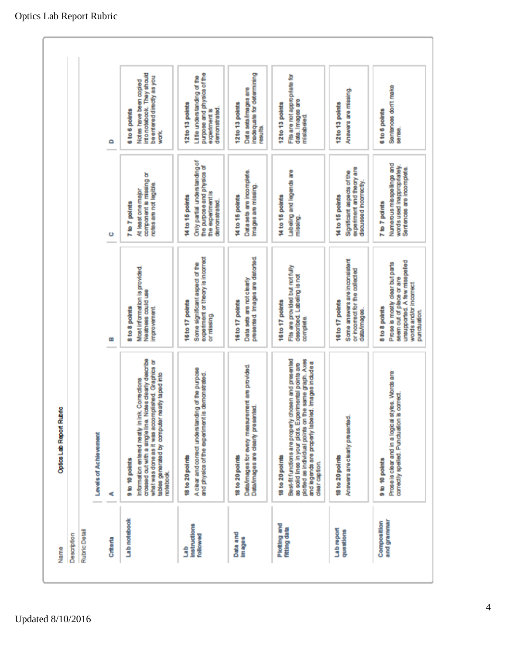| Description<br>Name           | Optics Lab Report Rubric                                                                                                                                                                                                                                               |                                                                                                                                                         |                                                                                                                     |                                                                                                                    |
|-------------------------------|------------------------------------------------------------------------------------------------------------------------------------------------------------------------------------------------------------------------------------------------------------------------|---------------------------------------------------------------------------------------------------------------------------------------------------------|---------------------------------------------------------------------------------------------------------------------|--------------------------------------------------------------------------------------------------------------------|
| Rubric Detail                 |                                                                                                                                                                                                                                                                        |                                                                                                                                                         |                                                                                                                     |                                                                                                                    |
|                               | Levels of Achievement                                                                                                                                                                                                                                                  |                                                                                                                                                         |                                                                                                                     |                                                                                                                    |
| Crittoria                     | ď                                                                                                                                                                                                                                                                      | œ                                                                                                                                                       | o                                                                                                                   | ٥                                                                                                                  |
| <b>Lab</b> notebook           | crossed out with a single line. Notes clearly describe<br>what was done as it was accomplished. Graphics or<br>tables generated by computer nearly taped into<br>Information entered neatly in ink. Corrections<br>9 to 10 points<br>notebook.                         | Most information is provided.<br>Neahess could use<br>8 to 8 points<br>improvement.                                                                     | companent is missing or<br>notes are not legible.<br>At least one major<br>7 to 7 points                            | into notebook. They should<br>be entered directly as you<br>Notes have been copied<br>6 to 6 points<br><b>WOTK</b> |
| instructions<br>followed<br>ŝ | A clear and correct understanding of the purpose<br>and physics of the experiment is demonstrated.<br>18 to 20 points                                                                                                                                                  | experiment or theory is incorrect<br>Some significant aspect of the<br>16 to 17 points<br>or missing.                                                   | Only partal understanding of<br>the purpose and physics of<br>the experiment is<br>14 to 15 points<br>demonstrated. | purpose and physics of the<br>Little understanding of the<br>12 to 13 points<br>demonstrated.<br>experiment is     |
| Data and<br>images            | Data/images for every measurement are provided.<br>Data/images are clearly presented.<br>18 to 20 points                                                                                                                                                               | presented. Images are distorted.<br>Data sets are not clearly<br>16 to 17 points                                                                        | Data sets are incomplete.<br>Images are missing.<br>14 to 15 points                                                 | inadequate for determining<br>Data sets/images are<br>12to 13 points<br><b>results</b>                             |
| Plotting and<br>fitting data  | Best-fit functions are properly chosen and presented<br>same graph. Axes<br>Images include a<br>as solid lines in your plots. Experimental points are<br>plotted as individual points on the<br>and legends are properly labeled.<br>18 to 20 points<br>clear caption. | Fits are provided but not fully<br>described. Labeling is not<br>16 to 17 points<br>complete.                                                           | Labeling and legends are<br>14 to 15 points<br>missing.                                                             | Fits are not appropriate for<br>data. Images are<br>12to 13 points<br>mislabeled                                   |
| Lab report<br>questions       | Answers are clearly presented.<br>18 to 20 points                                                                                                                                                                                                                      | Some answers are inconsistent<br>or incorrect for the collected<br>16 to 17 points<br>data/images.                                                      | experiment and theory are<br>Significant aspects of the<br>dscussed incorrectly.<br>14 to 15 points                 | Answers are missing.<br>12to 13 points                                                                             |
| and grammar<br>Composition    | Prosels clear and in a logical styles. Words are<br>correctly spelled. Punctuation is correct<br>9 to 10 points                                                                                                                                                        | unsupported. A few misspelled<br>Prose is mostly clear but parts<br>seem out of place or are<br>words and/or incorrect<br>8 to 8 points<br>punctuation. | Numerous misspellings and<br>words used inappropriately.<br>Sentences are incomplete.<br>7 to 7 paints              | Sentences don't make<br>sense.<br>6 to 6 points                                                                    |